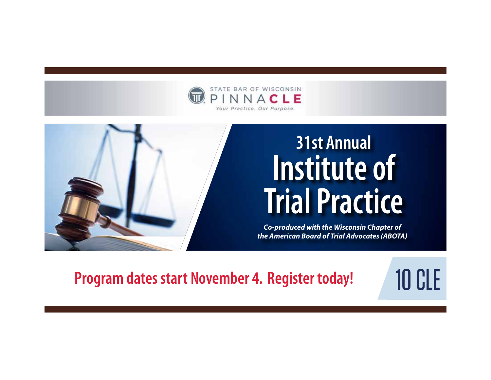



# **31st Annual Institute of Trial Practice**

*Co-produced with the Wisconsin Chapter of the American Board of Trial Advocates (ABOTA)*

**Program dates start November 4. Register today!** 10 CLE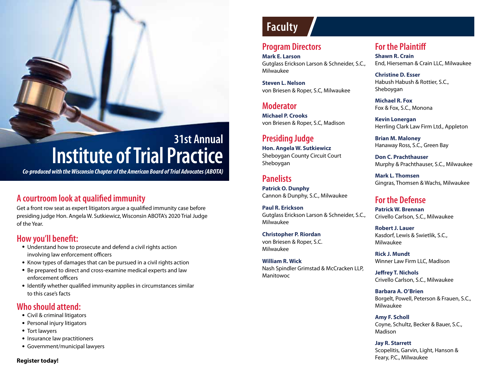## **31st Annual Institute of Trial Practice**

*Co-produced with the Wisconsin Chapter of the American Board of Trial Advocates (ABOTA)*

#### **A courtroom look at qualified immunity**

Get a front row seat as expert litigators argue a qualified immunity case before presiding judge Hon. Angela W. Sutkiewicz, Wisconsin ABOTA's 2020 Trial Judge of the Year.

#### **How you'll benefit:**

- Understand how to prosecute and defend a civil rights action involving law enforcement officers
- Know types of damages that can be pursued in a civil rights action
- Be prepared to direct and cross-examine medical experts and law enforcement officers
- Identify whether qualified immunity applies in circumstances similar to this case's facts

#### **Who should attend:**

- Civil & criminal litigators
- Personal injury litigators
- Tort lawyers
- Insurance law practitioners
- Government/municipal lawyers

#### **Register today!**

## **Faculty**

#### **Program Directors**

**Mark E. Larson** Gutglass Erickson Larson & Schneider, S.C., Milwaukee

**Steven L. Nelson** von Briesen & Roper, S.C, Milwaukee

#### **Moderator**

**Michael P. Crooks**  von Briesen & Roper, S.C, Madison

#### **Presiding Judge Hon. Angela W. Sutkiewicz** Sheboygan County Circuit Court Sheboygan

#### **Panelists**

**Patrick O. Dunphy** Cannon & Dunphy, S.C., Milwaukee

**Paul R. Erickson** Gutglass Erickson Larson & Schneider, S.C., Milwaukee

**Christopher P. Riordan** von Briesen & Roper, S.C. Milwaukee

#### **William R. Wick** Nash Spindler Grimstad & McCracken LLP, Manitowoc

#### **For the Plaintiff**

**Shawn R. Crain** End, Hierseman & Crain LLC, Milwaukee

**Christine D. Esser** Habush Habush & Rottier, S.C., Sheboygan

**Michael R. Fox** Fox & Fox, S.C., Monona

**Kevin Lonergan** Herrling Clark Law Firm Ltd., Appleton

**Brian M. Maloney** Hanaway Ross, S.C., Green Bay

**Don C. Prachthauser** Murphy & Prachthauser, S.C., Milwaukee

**Mark L. Thomsen** Gingras, Thomsen & Wachs, Milwaukee

#### **For the Defense**

**Patrick W. Brennan** Crivello Carlson, S.C., Milwaukee

**Robert J. Lauer** Kasdorf, Lewis & Swietlik, S.C., Milwaukee

**Rick J. Mundt** Winner Law Firm LLC, Madison

**Jeffrey T. Nichols** Crivello Carlson, S.C., Milwaukee

**Barbara A. O'Brien** Borgelt, Powell, Peterson & Frauen, S.C., Milwaukee

**Amy F. Scholl** Coyne, Schultz, Becker & Bauer, S.C., Madison

#### **Jay R. Starrett**

Scopelitis, Garvin, Light, Hanson & Feary, P.C., Milwaukee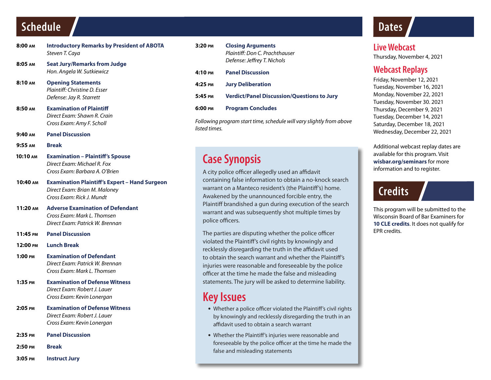## **Schedule**

- **8:00 am Introductory Remarks by President of ABOTA** *Steven T. Caya*
- **8:05 am Seat Jury/Remarks from Judge** *Hon. Angela W. Sutkiewicz*
- **8:10 am Opening Statements** *Plaintiff: Christine D. Esser Defense: Jay R. Starrett*
- **8:50 am Examination of Plaintiff** *Direct Exam: Shawn R. Crain Cross Exam: Amy F. Scholl*
- **9:40 am Panel Discussion**
- **9:55 am Break**
- **10:10 am Examination Plaintiff's Spouse**  *Direct Exam: Michael R. Fox Cross Exam: Barbara A. O'Brien*
- **10:40 am Examination Plaintiff's Expert Hand Surgeon** *Direct Exam: Brian M. Maloney Cross Exam: Rick J. Mundt*
- **11:20 am Adverse Examination of Defendant**  *Cross Exam: Mark L. Thomsen Direct Exam: Patrick W. Brennan*
- **11:45 pm Panel Discussion**
- **12:00 pm Lunch Break**
- **1:00 pm Examination of Defendant** *Direct Exam: Patrick W. Brennan Cross Exam: Mark L. Thomsen*
- **1:35 pm Examination of Defense Witness** *Direct Exam: Robert J. Lauer Cross Exam: Kevin Lonergan*
- **2:05 pm Examination of Defense Witness** *Direct Exam: Robert J. Lauer Cross Exam: Kevin Lonergan*
- **2:35 pm Panel Discussion**
- **2:50 pm Break**
- **3:05 pm Instruct Jury**

**3:20 pm Closing Arguments** *Plaintiff: Don C. Prachthauser Defense: Jeffrey T. Nichols* **4:10 pm Panel Discussion 4:25 pm Jury Deliberation 5:45 pm Verdict/Panel Discussion/Questions to Jury 6:00 pm Program Concludes**

*Following program start time, schedule will vary slightly from above listed times.*

## **Case Synopsis**

A city police officer allegedly used an affidavit containing false information to obtain a no-knock search warrant on a Manteco resident's (the Plaintiff's) home. Awakened by the unannounced forcible entry, the Plaintiff brandished a gun during execution of the search warrant and was subsequently shot multiple times by police officers.

The parties are disputing whether the police officer violated the Plaintiff's civil rights by knowingly and recklessly disregarding the truth in the affidavit used to obtain the search warrant and whether the Plaintiff's injuries were reasonable and foreseeable by the police officer at the time he made the false and misleading statements. The jury will be asked to determine liability.

### **Key Issues**

- Whether a police officer violated the Plaintiff's civil rights by knowingly and recklessly disregarding the truth in an affidavit used to obtain a search warrant
- Whether the Plaintiff's injuries were reasonable and foreseeable by the police officer at the time he made the false and misleading statements

## **Dates**

**Live Webcast** Thursday, November 4, 2021

#### **Webcast Replays**

Friday, November 12, 2021 Tuesday, November 16, 2021 Monday, November 22, 2021 Tuesday, November 30. 2021 Thursday, December 9, 2021 Tuesday, December 14, 2021 Saturday, December 18, 2021 Wednesday, December 22, 2021

Additional webcast replay dates are available for this program. Visit **wisbar.org/seminars** for more information and to register.

## **Credits**

This program will be submitted to the Wisconsin Board of Bar Examiners for **10 CLE credits**. It does not qualify for EPR credits.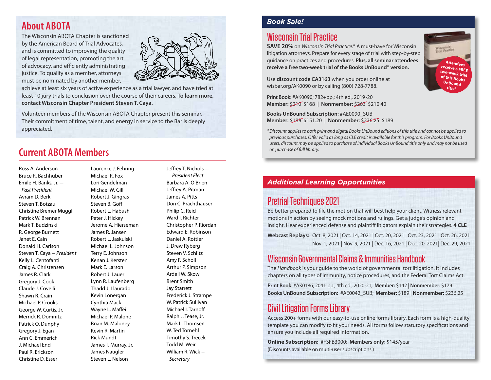### **About ABOTA**

The Wisconsin ABOTA Chapter is sanctioned by the American Board of Trial Advocates, and is committed to improving the quality of legal representation, promoting the art of advocacy, and efficiently administrating justice. To qualify as a member, attorneys must be nominated by another member,



achieve at least six years of active experience as a trial lawyer, and have tried at least 10 jury trials to conclusion over the course of their careers. **To learn more, contact Wisconsin Chapter President Steven T. Caya.** 

Volunteer members of the Wisconsin ABOTA Chapter present this seminar. Their commitment of time, talent, and energy in service to the Bar is deeply appreciated.

### **Current ABOTA Members**

Ross A. Anderson Bruce R. Bachhuber Emile H. Banks, Jr. – *Past President* Avram D. Berk Steven T. Botzau Christine Bremer Muggli Patrick W. Brennan Mark T. Budzinski R. George Burnett Janet E. Cain Donald H. Carlson Steven T. Caya – *President*  Kelly L. Centofanti Craig A. Christensen James R. Clark Gregory J. Cook Claude J. Covelli Shawn R. Crain Michael P. Crooks George W. Curtis, Jr. Merrick R. Domnitz Patrick O. Dunphy Gregory J. Egan Ann C. Emmerich J. Michael End Paul R. Erickson Christine D. Esser

Laurence J. Fehring Michael R. Fox Lori Gendelman Michael W. Gill Robert J. Gingras Steven B. Goff Robert L. Habush Peter J. Hickey Jerome A. Hierseman James R. Jansen Robert L. Jaskulski Michael L. Johnson Terry E. Johnson Kenan J. Kersten Mark E. Larson Robert J. Lauer Lynn R. Laufenberg Thadd J. Llaurado Kevin Lonergan Cynthia Mack Wayne L. Maffei Michael P. Malone Brian M. Maloney Kevin R. Martin Rick Mundt James T. Murray, Jr. James Naugler Steven L. Nelson

Jeffrey T. Nichols – *President Elect* Barbara A. O'Brien Jeffrey A. Pitman James A. Pitts Don C. Prachthauser Philip C. Reid Ward I. Richter Christopher P. Riordan Edward E. Robinson Daniel A. Rottier J. Drew Ryberg Steven V. Schlitz Amy F. Scholl Arthur P. Simpson Ardell W. Skow Brent Smith Jay Starrett Frederick J. Strampe W. Patrick Sullivan Michael I. Tarnoff Ralph J. Tease, Jr. Mark L. Thomsen W. Ted Tornehl Timothy S. Trecek Todd M. Weir William R. Wick – *Secretary*

#### *Book Sale!*

#### Wisconsin Trial Practice

**SAVE 20%** on *Wisconsin Trial Practice*.\* A must-have for Wisconsin litigation attorneys. Prepare for every stage of trial with step-by-step guidance on practices and procedures. **Plus, all seminar attendees receive a free two-week trial of the Books UnBound® version.**

Use **discount code CA3163** when you order online at wisbar.org/AK0090 or by calling (800) 728-7788.

**Print Book:** #AK0090; 782+pp.; 4th ed., 2019-20 **Member:** \$210 \$168 **| Nonmember:** \$263 \$210.40

**Books UnBound Subscription:** #AE0090\_SUB **Member:** \$189 \$151.20 **| Nonmember:** \$236.25 \$189

*\*Discount applies to both print and digital Books UnBound editions of this title and cannot be applied to previous purchases. Offer valid as long as CLE credit is available for this program. For Books UnBound users, discount may be applied to purchase of individual Books UnBound title only and may not be used on purchase of full library.*

#### *Additional Learning Opportunities*

#### Pretrial Techniques 2021

Be better prepared to file the motion that will best help your client. Witness relevant motions in action by seeing mock motions and rulings. Get a judge's opinion and insight. Hear experienced defense and plaintiff litigators explain their strategies. **4 CLE**

**Webcast Replays:** Oct. 8, 2021 | Oct. 14, 2021 | Oct. 20, 2021 | Oct. 23, 2021 | Oct. 26, 2021 Nov. 1, 2021 | Nov. 9, 2021 | Dec. 16, 2021 | Dec. 20, 2021| Dec. 29, 2021

#### Wisconsin Governmental Claims & Immunities Handbook

The *Handbook* is your guide to the world of governmental tort litigation. It includes chapters on all types of immunity, notice procedures, and the Federal Tort Claims Act.

**Print Book:** #AK0186; 204+ pp.; 4th ed.; 2020-21; **Member:** \$142 | **Nonmember:** \$179 **Books UnBound Subscription:** #AE0042\_SUB; **Member:** \$189 | **Nonmember:** \$236.25

### Civil Litigation Forms Library

Access 200+ forms with our easy-to-use online forms library. Each form is a high-quality template you can modify to fit your needs. All forms follow statutory specifications and ensure you include all required information.

**Online Subscription:** #FSFB3000; **Members only:** \$145/year (Discounts available on multi-user subscriptions.)